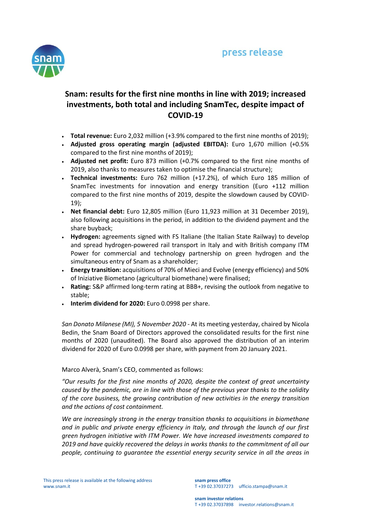

# **Snam: results for the first nine months in line with 2019; increased investments, both total and including SnamTec, despite impact of COVID-19**

- **Total revenue:** Euro 2,032 million (+3.9% compared to the first nine months of 2019);
- **Adjusted gross operating margin (adjusted EBITDA):** Euro 1,670 million (+0.5% compared to the first nine months of 2019);
- **Adjusted net profit:** Euro 873 million (+0.7% compared to the first nine months of 2019, also thanks to measures taken to optimise the financial structure);
- **Technical investments:** Euro 762 million (+17.2%), of which Euro 185 million of SnamTec investments for innovation and energy transition (Euro +112 million compared to the first nine months of 2019, despite the slowdown caused by COVID-19);
- **Net financial debt:** Euro 12,805 million (Euro 11,923 million at 31 December 2019), also following acquisitions in the period, in addition to the dividend payment and the share buyback;
- **Hydrogen:** agreements signed with FS Italiane (the Italian State Railway) to develop and spread hydrogen-powered rail transport in Italy and with British company ITM Power for commercial and technology partnership on green hydrogen and the simultaneous entry of Snam as a shareholder;
- **Energy transition:** acquisitions of 70% of Mieci and Evolve (energy efficiency) and 50% of Iniziative Biometano (agricultural biomethane) were finalised;
- **Rating:** S&P affirmed long-term rating at BBB+, revising the outlook from negative to stable;
- **Interim dividend for 2020:** Euro 0.0998 per share.

*San Donato Milanese (MI), 5 November 2020 -* At its meeting yesterday, chaired by Nicola Bedin, the Snam Board of Directors approved the consolidated results for the first nine months of 2020 (unaudited). The Board also approved the distribution of an interim dividend for 2020 of Euro 0.0998 per share, with payment from 20 January 2021.

# Marco Alverà, Snam's CEO, commented as follows:

*"Our results for the first nine months of 2020, despite the context of great uncertainty caused by the pandemic, are in line with those of the previous year thanks to the solidity of the core business, the growing contribution of new activities in the energy transition and the actions of cost containment.*

*We are increasingly strong in the energy transition thanks to acquisitions in biomethane and in public and private energy efficiency in Italy, and through the launch of our first green hydrogen initiative with ITM Power. We have increased investments compared to 2019 and have quickly recovered the delays in works thanks to the commitment of all our people, continuing to guarantee the essential energy security service in all the areas in*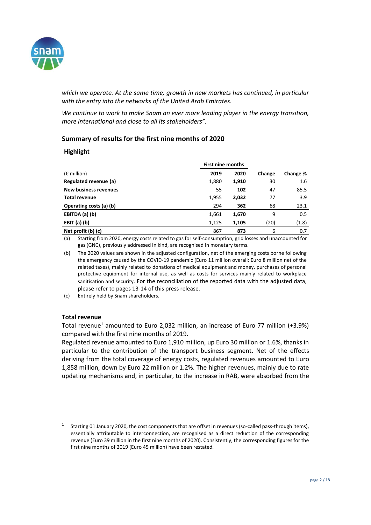

*which we operate. At the same time, growth in new markets has continued, in particular with the entry into the networks of the United Arab Emirates.*

*We continue to work to make Snam an ever more leading player in the energy transition, more international and close to all its stakeholders".* 

# **Summary of results for the first nine months of 2020**

#### **Highlight**

|                              | <b>First nine months</b> |       |        |          |
|------------------------------|--------------------------|-------|--------|----------|
| $(\epsilon$ million)         | 2019                     | 2020  | Change | Change % |
| Regulated revenue (a)        | 1,880                    | 1,910 | 30     | 1.6      |
| <b>New business revenues</b> | 55                       | 102   | 47     | 85.5     |
| <b>Total revenue</b>         | 1,955                    | 2,032 | 77     | 3.9      |
| Operating costs (a) (b)      | 294                      | 362   | 68     | 23.1     |
| EBITDA (a) (b)               | 1,661                    | 1,670 | 9      | 0.5      |
| EBIT $(a)$ $(b)$             | 1,125                    | 1,105 | (20)   | (1.8)    |
| Net profit (b) (c)           | 867                      | 873   | 6      | 0.7      |

(a) Starting from 2020, energy costs related to gas for self-consumption, grid losses and unaccounted for gas (GNC), previously addressed in kind, are recognised in monetary terms.

(b) The 2020 values are shown in the adjusted configuration, net of the emerging costs borne following the emergency caused by the COVID-19 pandemic (Euro 11 million overall; Euro 8 million net of the related taxes), mainly related to donations of medical equipment and money, purchases of personal protective equipment for internal use, as well as costs for services mainly related to workplace sanitisation and security. For the reconciliation of the reported data with the adjusted data, please refer to pages 13-14 of this press release.

(c) Entirely held by Snam shareholders.

#### **Total revenue**

 $\overline{a}$ 

Total revenue<sup>1</sup> amounted to Euro 2,032 million, an increase of Euro 77 million (+3.9%) compared with the first nine months of 2019.

Regulated revenue amounted to Euro 1,910 million, up Euro 30 million or 1.6%, thanks in particular to the contribution of the transport business segment. Net of the effects deriving from the total coverage of energy costs, regulated revenues amounted to Euro 1,858 million, down by Euro 22 million or 1.2%. The higher revenues, mainly due to rate updating mechanisms and, in particular, to the increase in RAB, were absorbed from the

<sup>1</sup> Starting 01 January 2020, the cost components that are offset in revenues (so-called pass-through items), essentially attributable to interconnection, are recognised as a direct reduction of the corresponding revenue (Euro 39 million in the first nine months of 2020). Consistently, the corresponding figures for the first nine months of 2019 (Euro 45 million) have been restated.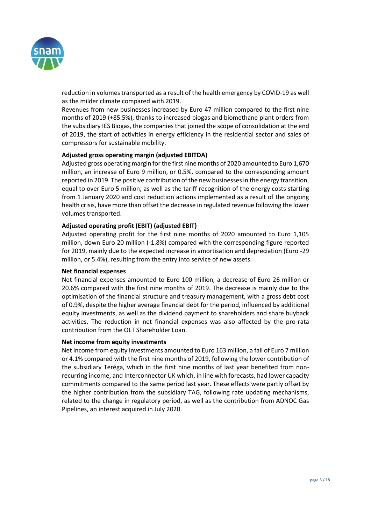

reduction in volumes transported as a result of the health emergency by COVID-19 as well as the milder climate compared with 2019.

Revenues from new businesses increased by Euro 47 million compared to the first nine months of 2019 (+85.5%), thanks to increased biogas and biomethane plant orders from the subsidiary IES Biogas, the companies that joined the scope of consolidation at the end of 2019, the start of activities in energy efficiency in the residential sector and sales of compressors for sustainable mobility.

# **Adjusted gross operating margin (adjusted EBITDA)**

Adjusted gross operating margin for the first nine months of 2020 amounted to Euro 1,670 million, an increase of Euro 9 million, or 0.5%, compared to the corresponding amount reported in 2019. The positive contribution of the new businesses in the energy transition, equal to over Euro 5 million, as well as the tariff recognition of the energy costs starting from 1 January 2020 and cost reduction actions implemented as a result of the ongoing health crisis, have more than offset the decrease in regulated revenue following the lower volumes transported.

#### **Adjusted operating profit (EBIT) (adjusted EBIT)**

Adjusted operating profit for the first nine months of 2020 amounted to Euro 1,105 million, down Euro 20 million (-1.8%) compared with the corresponding figure reported for 2019, mainly due to the expected increase in amortisation and depreciation (Euro -29 million, or 5.4%), resulting from the entry into service of new assets.

#### **Net financial expenses**

Net financial expenses amounted to Euro 100 million, a decrease of Euro 26 million or 20.6% compared with the first nine months of 2019. The decrease is mainly due to the optimisation of the financial structure and treasury management, with a gross debt cost of 0.9%, despite the higher average financial debt for the period, influenced by additional equity investments, as well as the dividend payment to shareholders and share buyback activities. The reduction in net financial expenses was also affected by the pro-rata contribution from the OLT Shareholder Loan.

#### **Net income from equity investments**

Net income from equity investments amounted to Euro 163 million, a fall of Euro 7 million or 4.1% compared with the first nine months of 2019, following the lower contribution of the subsidiary Teréga, which in the first nine months of last year benefited from nonrecurring income, and Interconnector UK which, in line with forecasts, had lower capacity commitments compared to the same period last year. These effects were partly offset by the higher contribution from the subsidiary TAG, following rate updating mechanisms, related to the change in regulatory period, as well as the contribution from ADNOC Gas Pipelines, an interest acquired in July 2020.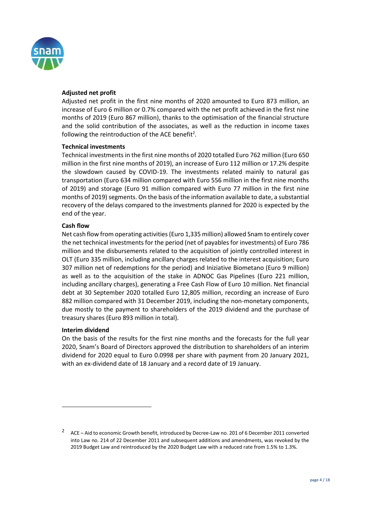

# **Adjusted net profit**

Adjusted net profit in the first nine months of 2020 amounted to Euro 873 million, an increase of Euro 6 million or 0.7% compared with the net profit achieved in the first nine months of 2019 (Euro 867 million), thanks to the optimisation of the financial structure and the solid contribution of the associates, as well as the reduction in income taxes following the reintroduction of the ACE benefit<sup>2</sup>.

#### **Technical investments**

Technical investments in the first nine months of 2020 totalled Euro 762 million (Euro 650 million in the first nine months of 2019), an increase of Euro 112 million or 17.2% despite the slowdown caused by COVID-19. The investments related mainly to natural gas transportation (Euro 634 million compared with Euro 556 million in the first nine months of 2019) and storage (Euro 91 million compared with Euro 77 million in the first nine months of 2019) segments. On the basis of the information available to date, a substantial recovery of the delays compared to the investments planned for 2020 is expected by the end of the year.

# **Cash flow**

Net cash flow from operating activities (Euro 1,335 million) allowed Snam to entirely cover the net technical investments for the period (net of payables for investments) of Euro 786 million and the disbursements related to the acquisition of jointly controlled interest in OLT (Euro 335 million, including ancillary charges related to the interest acquisition; Euro 307 million net of redemptions for the period) and Iniziative Biometano (Euro 9 million) as well as to the acquisition of the stake in ADNOC Gas Pipelines (Euro 221 million, including ancillary charges), generating a Free Cash Flow of Euro 10 million. Net financial debt at 30 September 2020 totalled Euro 12,805 million, recording an increase of Euro 882 million compared with 31 December 2019, including the non-monetary components, due mostly to the payment to shareholders of the 2019 dividend and the purchase of treasury shares (Euro 893 million in total).

# **Interim dividend**

 $\overline{a}$ 

On the basis of the results for the first nine months and the forecasts for the full year 2020, Snam's Board of Directors approved the distribution to shareholders of an interim dividend for 2020 equal to Euro 0.0998 per share with payment from 20 January 2021, with an ex-dividend date of 18 January and a record date of 19 January.

<sup>2</sup> ACE – Aid to economic Growth benefit, introduced by Decree-Law no. 201 of 6 December 2011 converted into Law no. 214 of 22 December 2011 and subsequent additions and amendments, was revoked by the 2019 Budget Law and reintroduced by the 2020 Budget Law with a reduced rate from 1.5% to 1.3%.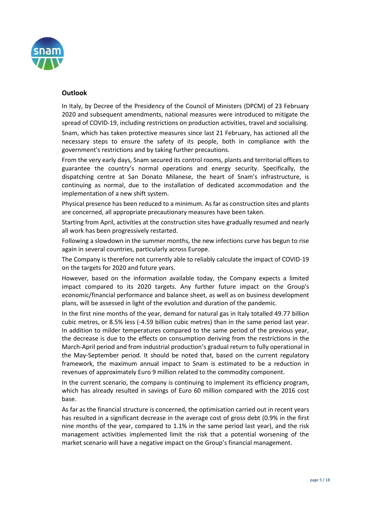

# **Outlook**

In Italy, by Decree of the Presidency of the Council of Ministers (DPCM) of 23 February 2020 and subsequent amendments, national measures were introduced to mitigate the spread of COVID-19, including restrictions on production activities, travel and socialising.

Snam, which has taken protective measures since last 21 February, has actioned all the necessary steps to ensure the safety of its people, both in compliance with the government's restrictions and by taking further precautions.

From the very early days, Snam secured its control rooms, plants and territorial offices to guarantee the country's normal operations and energy security. Specifically, the dispatching centre at San Donato Milanese, the heart of Snam's infrastructure, is continuing as normal, due to the installation of dedicated accommodation and the implementation of a new shift system.

Physical presence has been reduced to a minimum. As far as construction sites and plants are concerned, all appropriate precautionary measures have been taken.

Starting from April, activities at the construction sites have gradually resumed and nearly all work has been progressively restarted.

Following a slowdown in the summer months, the new infections curve has begun to rise again in several countries, particularly across Europe.

The Company is therefore not currently able to reliably calculate the impact of COVID-19 on the targets for 2020 and future years.

However, based on the information available today, the Company expects a limited impact compared to its 2020 targets. Any further future impact on the Group's economic/financial performance and balance sheet, as well as on business development plans, will be assessed in light of the evolution and duration of the pandemic.

In the first nine months of the year, demand for natural gas in Italy totalled 49.77 billion cubic metres, or 8.5% less (-4.59 billion cubic metres) than in the same period last year. In addition to milder temperatures compared to the same period of the previous year, the decrease is due to the effects on consumption deriving from the restrictions in the March-April period and from industrial production's gradual return to fully operational in the May-September period. It should be noted that, based on the current regulatory framework, the maximum annual impact to Snam is estimated to be a reduction in revenues of approximately Euro 9 million related to the commodity component.

In the current scenario, the company is continuing to implement its efficiency program, which has already resulted in savings of Euro 60 million compared with the 2016 cost base.

As far as the financial structure is concerned, the optimisation carried out in recent years has resulted in a significant decrease in the average cost of gross debt (0.9% in the first nine months of the year, compared to 1.1% in the same period last year), and the risk management activities implemented limit the risk that a potential worsening of the market scenario will have a negative impact on the Group's financial management.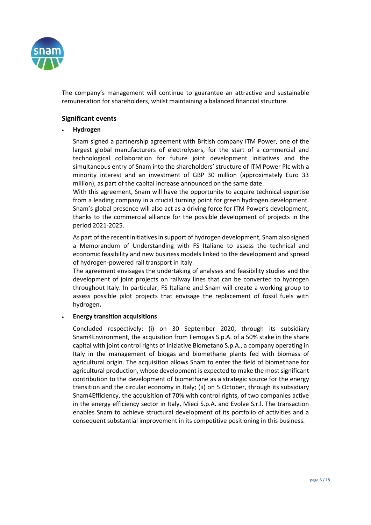

The company's management will continue to guarantee an attractive and sustainable remuneration for shareholders, whilst maintaining a balanced financial structure.

# **Significant events**

# **Hydrogen**

Snam signed a partnership agreement with British company ITM Power, one of the largest global manufacturers of electrolysers, for the start of a commercial and technological collaboration for future joint development initiatives and the simultaneous entry of Snam into the shareholders' structure of ITM Power Plc with a minority interest and an investment of GBP 30 million (approximately Euro 33 million), as part of the capital increase announced on the same date.

With this agreement, Snam will have the opportunity to acquire technical expertise from a leading company in a crucial turning point for green hydrogen development. Snam's global presence will also act as a driving force for ITM Power's development, thanks to the commercial alliance for the possible development of projects in the period 2021-2025.

As part of the recent initiatives in support of hydrogen development, Snam also signed a Memorandum of Understanding with FS Italiane to assess the technical and economic feasibility and new business models linked to the development and spread of hydrogen-powered rail transport in Italy.

The agreement envisages the undertaking of analyses and feasibility studies and the development of joint projects on railway lines that can be converted to hydrogen throughout Italy. In particular, FS Italiane and Snam will create a working group to assess possible pilot projects that envisage the replacement of fossil fuels with hydrogen**.**

# **Energy transition acquisitions**

Concluded respectively: (i) on 30 September 2020, through its subsidiary Snam4Environment, the acquisition from Femogas S.p.A. of a 50% stake in the share capital with joint control rights of Iniziative Biometano S.p.A., a company operating in Italy in the management of biogas and biomethane plants fed with biomass of agricultural origin. The acquisition allows Snam to enter the field of biomethane for agricultural production, whose development is expected to make the most significant contribution to the development of biomethane as a strategic source for the energy transition and the circular economy in Italy; (ii) on 5 October, through its subsidiary Snam4Efficiency, the acquisition of 70% with control rights, of two companies active in the energy efficiency sector in Italy, Mieci S.p.A. and Evolve S.r.l. The transaction enables Snam to achieve structural development of its portfolio of activities and a consequent substantial improvement in its competitive positioning in this business.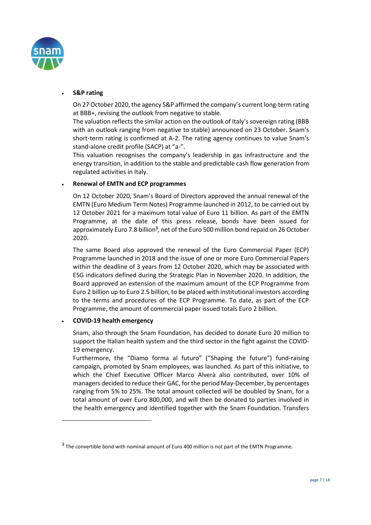

### **S&P rating**

On 27 October 2020, the agency S&P affirmed the company's current long-term rating at BBB+, revising the outlook from negative to stable.

The valuation reflects the similar action on the outlook of Italy's sovereign rating (BBB with an outlook ranging from negative to stable) announced on 23 October. Snam's short-term rating is confirmed at A-2. The rating agency continues to value Snam's stand-alone credit profile (SACP) at "a-".

This valuation recognises the company's leadership in gas infrastructure and the energy transition, in addition to the stable and predictable cash flow generation from regulated activities in Italy.

# **Renewal of EMTN and ECP programmes**

On 12 October 2020, Snam's Board of Directors approved the annual renewal of the EMTN (Euro Medium Term Notes) Programme launched in 2012, to be carried out by 12 October 2021 for a maximum total value of Euro 11 billion. As part of the EMTN Programme, at the date of this press release, bonds have been issued for approximately Euro 7.8 billion<sup>3</sup>, net of the Euro 500 million bond repaid on 26 October 2020.

The same Board also approved the renewal of the Euro Commercial Paper (ECP) Programme launched in 2018 and the issue of one or more Euro Commercial Papers within the deadline of 3 years from 12 October 2020, which may be associated with ESG indicators defined during the Strategic Plan in November 2020. In addition, the Board approved an extension of the maximum amount of the ECP Programme from Euro 2 billion up to Euro 2.5 billion, to be placed with institutional investors according to the terms and procedures of the ECP Programme. To date, as part of the ECP Programme, the amount of commercial paper issued totals Euro 2 billion.

# **COVID-19 health emergency**

 $\overline{a}$ 

Snam, also through the Snam Foundation, has decided to donate Euro 20 million to support the Italian health system and the third sector in the fight against the COVID-19 emergency.

Furthermore, the "Diamo forma al futuro" ("Shaping the future") fund-raising campaign, promoted by Snam employees, was launched. As part of this initiative, to which the Chief Executive Officer Marco Alverà also contributed, over 10% of managers decided to reduce their GAC, for the period May-December, by percentages ranging from 5% to 25%. The total amount collected will be doubled by Snam, for a total amount of over Euro 800,000, and will then be donated to parties involved in the health emergency and identified together with the Snam Foundation. Transfers

 $3$  The convertible bond with nominal amount of Euro 400 million is not part of the EMTN Programme.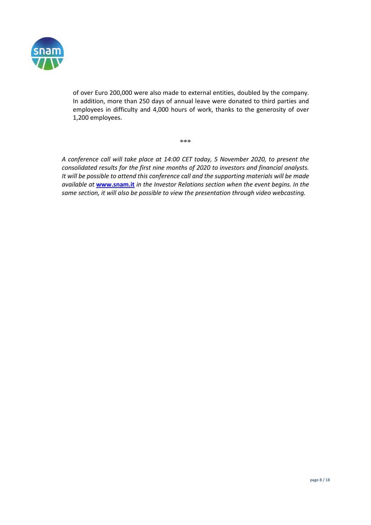

of over Euro 200,000 were also made to external entities, doubled by the company. In addition, more than 250 days of annual leave were donated to third parties and employees in difficulty and 4,000 hours of work, thanks to the generosity of over 1,200 employees.

\*\*\*

*A conference call will take place at 14:00 CET today, 5 November 2020, to present the consolidated results for the first nine months of 2020 to investors and financial analysts. It will be possible to attend this conference call and the supporting materials will be made available at* **[www.snam.it](http://www.snam.it/)** *in the Investor Relations section when the event begins. In the same section, it will also be possible to view the presentation through video webcasting.*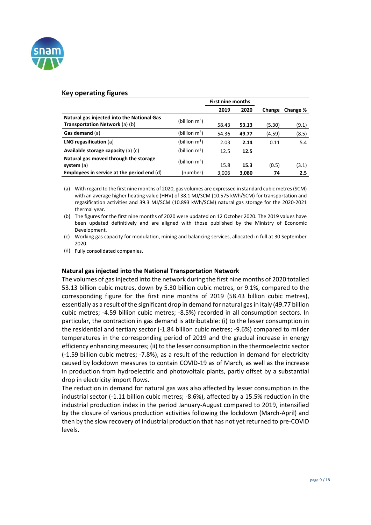

#### **Key operating figures**

|                                                                              |                  | <b>First nine months</b> |       |        |          |
|------------------------------------------------------------------------------|------------------|--------------------------|-------|--------|----------|
|                                                                              |                  | 2019                     | 2020  | Change | Change % |
| Natural gas injected into the National Gas<br>Transportation Network (a) (b) | (billion $m^3$ ) | 58.43                    | 53.13 | (5.30) | (9.1)    |
| Gas demand (a)                                                               | (billion $m^3$ ) | 54.36                    | 49.77 | (4.59) | (8.5)    |
| LNG regasification $(a)$                                                     | (billion $m^3$ ) | 2.03                     | 2.14  | 0.11   | 5.4      |
| Available storage capacity $(a)$ $(c)$                                       | (billion $m^3$ ) | 12.5                     | 12.5  |        |          |
| Natural gas moved through the storage<br>system (a)                          | (billion $m^3$ ) | 15.8                     | 15.3  | (0.5)  | (3.1)    |
| Employees in service at the period end $(d)$                                 | (number)         | 3,006                    | 3,080 | 74     | 2.5      |

(a) With regard to the first nine months of 2020, gas volumes are expressed in standard cubic metres (SCM) with an average higher heating value (HHV) of 38.1 MJ/SCM (10.575 kWh/SCM) for transportation and regasification activities and 39.3 MJ/SCM (10.893 kWh/SCM) natural gas storage for the 2020-2021 thermal year.

(b) The figures for the first nine months of 2020 were updated on 12 October 2020. The 2019 values have been updated definitively and are aligned with those published by the Ministry of Economic Development.

(c) Working gas capacity for modulation, mining and balancing services, allocated in full at 30 September 2020.

(d) Fully consolidated companies.

#### **Natural gas injected into the National Transportation Network**

The volumes of gas injected into the network during the first nine months of 2020 totalled 53.13 billion cubic metres, down by 5.30 billion cubic metres, or 9.1%, compared to the corresponding figure for the first nine months of 2019 (58.43 billion cubic metres), essentially as a result of the significant drop in demand for natural gas in Italy (49.77 billion cubic metres; -4.59 billion cubic metres; -8.5%) recorded in all consumption sectors. In particular, the contraction in gas demand is attributable: (i) to the lesser consumption in the residential and tertiary sector (-1.84 billion cubic metres; -9.6%) compared to milder temperatures in the corresponding period of 2019 and the gradual increase in energy efficiency enhancing measures; (ii) to the lesser consumption in the thermoelectric sector (-1.59 billion cubic metres; -7.8%), as a result of the reduction in demand for electricity caused by lockdown measures to contain COVID-19 as of March, as well as the increase in production from hydroelectric and photovoltaic plants, partly offset by a substantial drop in electricity import flows.

The reduction in demand for natural gas was also affected by lesser consumption in the industrial sector (-1.11 billion cubic metres; -8.6%), affected by a 15.5% reduction in the industrial production index in the period January-August compared to 2019, intensified by the closure of various production activities following the lockdown (March-April) and then by the slow recovery of industrial production that has not yet returned to pre-COVID levels.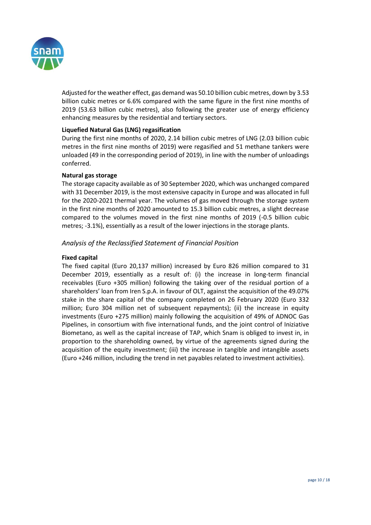

Adjusted for the weather effect, gas demand was 50.10 billion cubic metres, down by 3.53 billion cubic metres or 6.6% compared with the same figure in the first nine months of 2019 (53.63 billion cubic metres), also following the greater use of energy efficiency enhancing measures by the residential and tertiary sectors.

# **Liquefied Natural Gas (LNG) regasification**

During the first nine months of 2020, 2.14 billion cubic metres of LNG (2.03 billion cubic metres in the first nine months of 2019) were regasified and 51 methane tankers were unloaded (49 in the corresponding period of 2019), in line with the number of unloadings conferred.

#### **Natural gas storage**

The storage capacity available as of 30 September 2020, which was unchanged compared with 31 December 2019, is the most extensive capacity in Europe and was allocated in full for the 2020-2021 thermal year. The volumes of gas moved through the storage system in the first nine months of 2020 amounted to 15.3 billion cubic metres, a slight decrease compared to the volumes moved in the first nine months of 2019 (-0.5 billion cubic metres; -3.1%), essentially as a result of the lower injections in the storage plants.

# *Analysis of the Reclassified Statement of Financial Position*

#### **Fixed capital**

The fixed capital (Euro 20,137 million) increased by Euro 826 million compared to 31 December 2019, essentially as a result of: (i) the increase in long-term financial receivables (Euro +305 million) following the taking over of the residual portion of a shareholders' loan from Iren S.p.A. in favour of OLT, against the acquisition of the 49.07% stake in the share capital of the company completed on 26 February 2020 (Euro 332 million; Euro 304 million net of subsequent repayments); (ii) the increase in equity investments (Euro +275 million) mainly following the acquisition of 49% of ADNOC Gas Pipelines, in consortium with five international funds, and the joint control of Iniziative Biometano, as well as the capital increase of TAP, which Snam is obliged to invest in, in proportion to the shareholding owned, by virtue of the agreements signed during the acquisition of the equity investment; (iii) the increase in tangible and intangible assets (Euro +246 million, including the trend in net payables related to investment activities).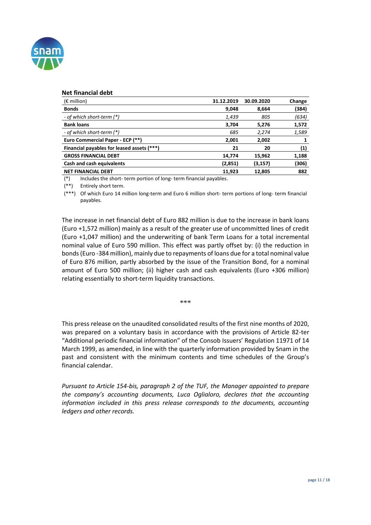

#### **Net financial debt**

| $(\epsilon$ million)                       | 31.12.2019 | 30.09.2020 | Change            |
|--------------------------------------------|------------|------------|-------------------|
| <b>Bonds</b>                               | 9,048      | 8,664      | (384)             |
| - of which short-term (*)                  | 1,439      | 805        | (634)             |
| <b>Bank loans</b>                          | 3.704      | 5,276      | 1,572             |
| - of which short-term (*)                  | 685        | 2,274      | 1,589             |
| Euro Commercial Paper - ECP (**)           | 2,001      | 2,002      |                   |
| Financial payables for leased assets (***) | 21         | 20         | $\left( 1\right)$ |
| <b>GROSS FINANCIAL DEBT</b>                | 14,774     | 15,962     | 1,188             |
| Cash and cash equivalents                  | (2,851)    | (3,157)    | (306)             |
| <b>NET FINANCIAL DEBT</b>                  | 11,923     | 12.805     | 882               |

(\*) Includes the short- term portion of long- term financial payables.

(\*\*) Entirely short term.

(\*\*\*) Of which Euro 14 million long-term and Euro 6 million short- term portions of long- term financial payables.

The increase in net financial debt of Euro 882 million is due to the increase in bank loans (Euro +1,572 million) mainly as a result of the greater use of uncommitted lines of credit (Euro +1,047 million) and the underwriting of bank Term Loans for a total incremental nominal value of Euro 590 million. This effect was partly offset by: (i) the reduction in bonds (Euro -384 million), mainly due to repayments of loans due for a total nominal value of Euro 876 million, partly absorbed by the issue of the Transition Bond, for a nominal amount of Euro 500 million; (ii) higher cash and cash equivalents (Euro +306 million) relating essentially to short-term liquidity transactions.

\*\*\*

This press release on the unaudited consolidated results of the first nine months of 2020, was prepared on a voluntary basis in accordance with the provisions of Article 82-ter "Additional periodic financial information" of the Consob Issuers' Regulation 11971 of 14 March 1999, as amended, in line with the quarterly information provided by Snam in the past and consistent with the minimum contents and time schedules of the Group's financial calendar.

*Pursuant to Article 154-bis, paragraph 2 of the TUF, the Manager appointed to prepare the company's accounting documents, Luca Oglialoro, declares that the accounting information included in this press release corresponds to the documents, accounting ledgers and other records.*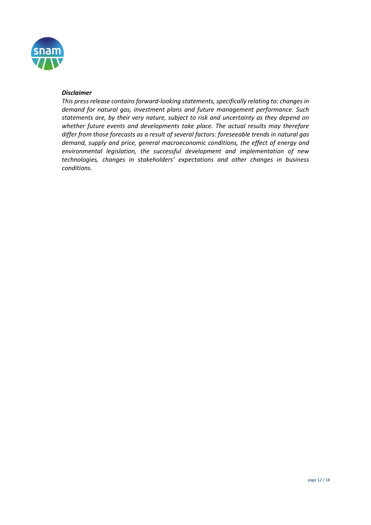

#### *Disclaimer*

*This press release contains forward-looking statements, specifically relating to: changes in demand for natural gas, investment plans and future management performance. Such statements are, by their very nature, subject to risk and uncertainty as they depend on whether future events and developments take place. The actual results may therefore differ from those forecasts as a result of several factors: foreseeable trends in natural gas demand, supply and price, general macroeconomic conditions, the effect of energy and environmental legislation, the successful development and implementation of new technologies, changes in stakeholders' expectations and other changes in business conditions.*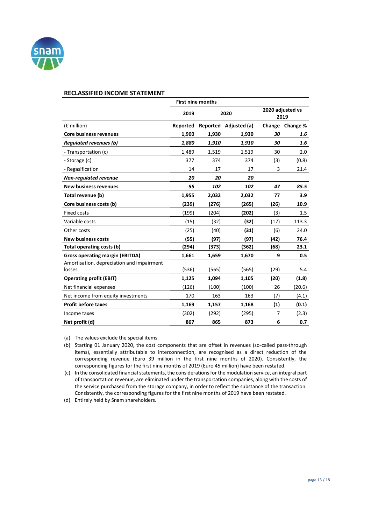

|                                           |          | <b>First nine months</b> |                       |                          |          |
|-------------------------------------------|----------|--------------------------|-----------------------|--------------------------|----------|
|                                           | 2019     | 2020                     |                       | 2020 adjusted vs<br>2019 |          |
| $(E \text{ million})$                     | Reported |                          | Reported Adjusted (a) | Change                   | Change % |
| <b>Core business revenues</b>             | 1,900    | 1,930                    | 1,930                 | 30                       | 1.6      |
| <b>Regulated revenues (b)</b>             | 1,880    | 1,910                    | 1,910                 | 30                       | 1.6      |
| - Transportation (c)                      | 1.489    | 1,519                    | 1,519                 | 30                       | 2.0      |
| - Storage (c)                             | 377      | 374                      | 374                   | (3)                      | (0.8)    |
| - Regasification                          | 14       | 17                       | 17                    | 3                        | 21.4     |
| <b>Non-regulated revenue</b>              | 20       | 20                       | 20                    |                          |          |
| <b>New business revenues</b>              | 55       | 102                      | 102                   | 47                       | 85.5     |
| Total revenue (b)                         | 1,955    | 2,032                    | 2,032                 | 77                       | 3.9      |
| Core business costs (b)                   | (239)    | (276)                    | (265)                 | (26)                     | 10.9     |
| <b>Fixed costs</b>                        | (199)    | (204)                    | (202)                 | (3)                      | 1.5      |
| Variable costs                            | (15)     | (32)                     | (32)                  | (17)                     | 113.3    |
| Other costs                               | (25)     | (40)                     | (31)                  | (6)                      | 24.0     |
| <b>New business costs</b>                 | (55)     | (97)                     | (97)                  | (42)                     | 76.4     |
| Total operating costs (b)                 | (294)    | (373)                    | (362)                 | (68)                     | 23.1     |
| <b>Gross operating margin (EBITDA)</b>    | 1,661    | 1,659                    | 1,670                 | 9                        | 0.5      |
| Amortisation, depreciation and impairment |          |                          |                       |                          |          |
| losses                                    | (536)    | (565)                    | (565)                 | (29)                     | 5.4      |
| <b>Operating profit (EBIT)</b>            | 1,125    | 1,094                    | 1,105                 | (20)                     | (1.8)    |
| Net financial expenses                    | (126)    | (100)                    | (100)                 | 26                       | (20.6)   |
| Net income from equity investments        | 170      | 163                      | 163                   | (7)                      | (4.1)    |
| <b>Profit before taxes</b>                | 1,169    | 1,157                    | 1,168                 | (1)                      | (0.1)    |
| Income taxes                              | (302)    | (292)                    | (295)                 | $\overline{7}$           | (2.3)    |
| Net profit (d)                            | 867      | 865                      | 873                   | 6                        | 0.7      |

(a) The values exclude the special items.

(b) Starting 01 January 2020, the cost components that are offset in revenues (so-called pass-through items), essentially attributable to interconnection, are recognised as a direct reduction of the corresponding revenue (Euro 39 million in the first nine months of 2020). Consistently, the corresponding figures for the first nine months of 2019 (Euro 45 million) have been restated.

(c) In the consolidated financial statements, the considerations for the modulation service, an integral part of transportation revenue, are eliminated under the transportation companies, along with the costs of the service purchased from the storage company, in order to reflect the substance of the transaction. Consistently, the corresponding figures for the first nine months of 2019 have been restated.

(d) Entirely held by Snam shareholders.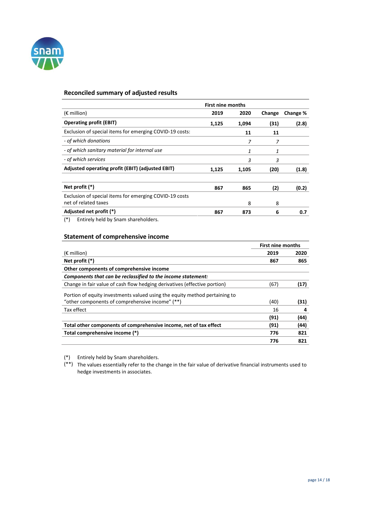

# **Reconciled summary of adjusted results**

|                                                         | <b>First nine months</b> |       |        |          |
|---------------------------------------------------------|--------------------------|-------|--------|----------|
| $(E \text{ million})$                                   | 2019                     | 2020  | Change | Change % |
| <b>Operating profit (EBIT)</b>                          | 1,125                    | 1,094 | (31)   | (2.8)    |
| Exclusion of special items for emerging COVID-19 costs: |                          | 11    | 11     |          |
| - of which donations                                    |                          | 7     | 7      |          |
| - of which sanitary material for internal use           |                          | 1     | 1      |          |
| - of which services                                     |                          | 3     | 3      |          |
| Adjusted operating profit (EBIT) (adjusted EBIT)        | 1,125                    | 1,105 | (20)   | (1.8)    |
|                                                         |                          |       |        |          |
| Net profit (*)                                          | 867                      | 865   | (2)    | (0.2)    |
| Exclusion of special items for emerging COVID-19 costs  |                          |       |        |          |
| net of related taxes                                    |                          | 8     | 8      |          |
| Adjusted net profit (*)                                 | 867                      | 873   | 6      | 0.7      |
| .                                                       |                          |       |        |          |

(\*) Entirely held by Snam shareholders.

#### **Statement of comprehensive income**

|                                                                            | <b>First nine months</b> |      |
|----------------------------------------------------------------------------|--------------------------|------|
| $(\epsilon$ million)                                                       | 2019                     | 2020 |
| Net profit $(*)$                                                           | 867                      | 865  |
| Other components of comprehensive income                                   |                          |      |
| Components that can be reclassified to the income statement:               |                          |      |
| Change in fair value of cash flow hedging derivatives (effective portion)  | (67)                     | (17) |
| Portion of equity investments valued using the equity method pertaining to |                          |      |
| "other components of comprehensive income" (**)                            | (40)                     | (31) |
| Tax effect                                                                 | 16                       | 4    |
|                                                                            | (91)                     | (44) |
| Total other components of comprehensive income, net of tax effect          | (91)                     | (44) |
| Total comprehensive income (*)                                             | 776                      | 821  |
|                                                                            | 776                      | 821  |

(\*) Entirely held by Snam shareholders.

(\*\*) The values essentially refer to the change in the fair value of derivative financial instruments used to hedge investments in associates.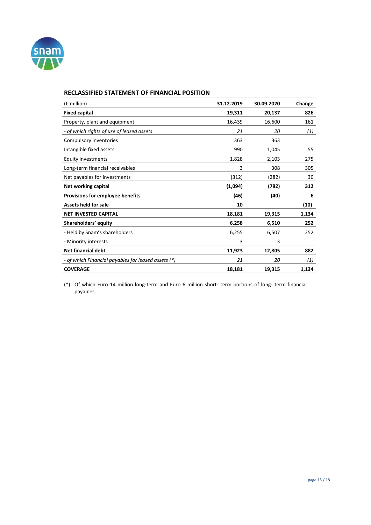

# **RECLASSIFIED STATEMENT OF FINANCIAL POSITION**

| $(\epsilon$ million)                                | 31.12.2019 | 30.09.2020 | Change |
|-----------------------------------------------------|------------|------------|--------|
| <b>Fixed capital</b>                                | 19,311     | 20,137     | 826    |
| Property, plant and equipment                       | 16,439     | 16,600     | 161    |
| - of which rights of use of leased assets           | 21         | 20         | (1)    |
| Compulsory inventories                              | 363        | 363        |        |
| Intangible fixed assets                             | 990        | 1,045      | 55     |
| <b>Equity investments</b>                           | 1,828      | 2,103      | 275    |
| Long-term financial receivables                     | 3          | 308        | 305    |
| Net payables for investments                        | (312)      | (282)      | 30     |
| Net working capital                                 | (1,094)    | (782)      | 312    |
| Provisions for employee benefits                    | (46)       | (40)       | 6      |
| Assets held for sale                                | 10         |            | (10)   |
| <b>NET INVESTED CAPITAL</b>                         | 18,181     | 19,315     | 1,134  |
| Shareholders' equity                                | 6,258      | 6,510      | 252    |
| - Held by Snam's shareholders                       | 6,255      | 6,507      | 252    |
| - Minority interests                                | 3          | 3          |        |
| <b>Net financial debt</b>                           | 11,923     | 12,805     | 882    |
| - of which Financial payables for leased assets (*) | 21         | 20         | (1)    |
| <b>COVERAGE</b>                                     | 18,181     | 19,315     | 1,134  |

(\*) Of which Euro 14 million long-term and Euro 6 million short- term portions of long- term financial payables.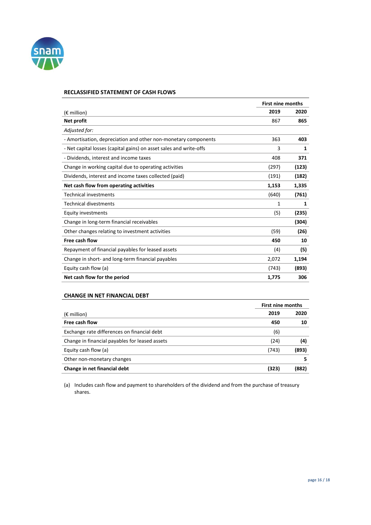

#### **RECLASSIFIED STATEMENT OF CASH FLOWS**

|                                                                    | <b>First nine months</b> |       |
|--------------------------------------------------------------------|--------------------------|-------|
| $(\epsilon$ million)                                               | 2019                     | 2020  |
| Net profit                                                         | 867                      | 865   |
| Adjusted for:                                                      |                          |       |
| - Amortisation, depreciation and other non-monetary components     | 363                      | 403   |
| - Net capital losses (capital gains) on asset sales and write-offs | 3                        | 1     |
| - Dividends, interest and income taxes                             | 408                      | 371   |
| Change in working capital due to operating activities              | (297)                    | (123) |
| Dividends, interest and income taxes collected (paid)              | (191)                    | (182) |
| Net cash flow from operating activities                            | 1,153                    | 1,335 |
| <b>Technical investments</b>                                       | (640)                    | (761) |
| <b>Technical divestments</b>                                       | 1                        | 1     |
| Equity investments                                                 | (5)                      | (235) |
| Change in long-term financial receivables                          |                          | (304) |
| Other changes relating to investment activities                    | (59)                     | (26)  |
| Free cash flow                                                     | 450                      | 10    |
| Repayment of financial payables for leased assets                  | (4)                      | (5)   |
| Change in short- and long-term financial payables                  | 2,072                    | 1,194 |
| Equity cash flow (a)                                               | (743)                    | (893) |
| Net cash flow for the period                                       | 1,775                    | 306   |

#### **CHANGE IN NET FINANCIAL DEBT**

|                                                | <b>First nine months</b> |       |  |
|------------------------------------------------|--------------------------|-------|--|
| $(\epsilon$ million)                           | 2019                     | 2020  |  |
| Free cash flow                                 | 450                      | 10    |  |
| Exchange rate differences on financial debt    | (6)                      |       |  |
| Change in financial payables for leased assets | (24)                     | (4)   |  |
| Equity cash flow (a)                           | (743)                    | (893) |  |
| Other non-monetary changes                     |                          | 5     |  |
| Change in net financial debt                   | (323)                    | (882) |  |

(a) Includes cash flow and payment to shareholders of the dividend and from the purchase of treasury shares.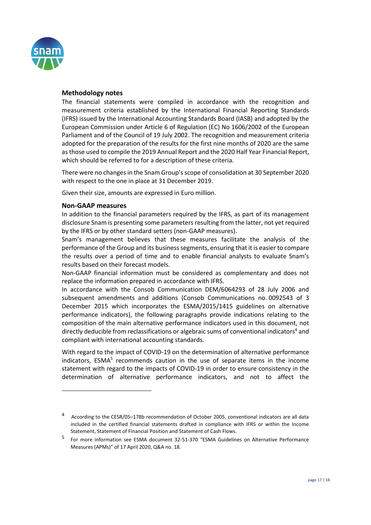

# **Methodology notes**

The financial statements were compiled in accordance with the recognition and measurement criteria established by the International Financial Reporting Standards (IFRS) issued by the International Accounting Standards Board (IASB) and adopted by the European Commission under Article 6 of Regulation (EC) No 1606/2002 of the European Parliament and of the Council of 19 July 2002. The recognition and measurement criteria adopted for the preparation of the results for the first nine months of 2020 are the same as those used to compile the 2019 Annual Report and the 2020 Half Year Financial Report, which should be referred to for a description of these criteria.

There were no changes in the Snam Group's scope of consolidation at 30 September 2020 with respect to the one in place at 31 December 2019.

Given their size, amounts are expressed in Euro million.

# **Non-GAAP measures**

 $\overline{a}$ 

In addition to the financial parameters required by the IFRS, as part of its management disclosure Snam is presenting some parameters resulting from the latter, not yet required by the IFRS or by other standard setters (non-GAAP measures).

Snam's management believes that these measures facilitate the analysis of the performance of the Group and its business segments, ensuring that it is easier to compare the results over a period of time and to enable financial analysts to evaluate Snam's results based on their forecast models.

Non-GAAP financial information must be considered as complementary and does not replace the information prepared in accordance with IFRS.

In accordance with the Consob Communication DEM/6064293 of 28 July 2006 and subsequent amendments and additions (Consob Communications no. 0092543 of 3 December 2015 which incorporates the ESMA/2015/1415 guidelines on alternative performance indicators), the following paragraphs provide indications relating to the composition of the main alternative performance indicators used in this document, not directly deducible from reclassifications or algebraic sums of conventional indicators<sup>4</sup> and compliant with international accounting standards.

With regard to the impact of COVID-19 on the determination of alternative performance indicators, ESMA<sup>5</sup> recommends caution in the use of separate items in the income statement with regard to the impacts of COVID-19 in order to ensure consistency in the determination of alternative performance indicators, and not to affect the

<sup>4</sup> According to the CESR/05–178b recommendation of October 2005, conventional indicators are all data included in the certified financial statements drafted in compliance with IFRS or within the Income Statement, Statement of Financial Position and Statement of Cash Flows.

<sup>5</sup> For more information see ESMA document 32-51-370 "ESMA Guidelines on Alternative Performance Measures (APMs)" of 17 April 2020, Q&A no. 18.